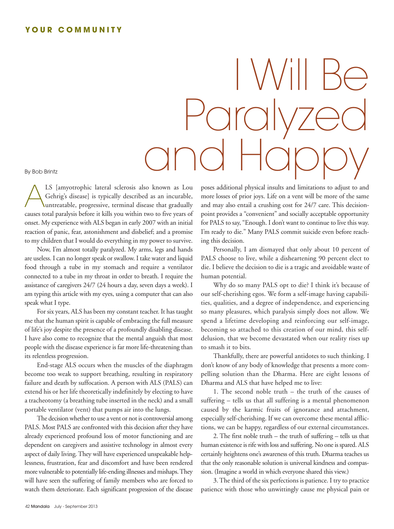## **Y O U R C O M M U N I T Y**

## I Will Be Paralyzed and Happy

By Bob Brintz

LS [amyotrophic lateral sclerosis also known as Lou<br>Gehrig's disease] is typically described as an incurable,<br>untreatable, progressive, terminal disease that gradually Gehrig's disease] is typically described as an incurable, untreatable, progressive, terminal disease that gradually causes total paralysis before it kills you within two to five years of onset. My experience with ALS began in early 2007 with an initial reaction of panic, fear, astonishment and disbelief; and a promise to my children that I would do everything in my power to survive.

Now, I'm almost totally paralyzed. My arms, legs and hands are useless. I can no longer speak or swallow. I take water and liquid food through a tube in my stomach and require a ventilator connected to a tube in my throat in order to breath. I require the assistance of caregivers 24/7 (24 hours a day, seven days a week). I am typing this article with my eyes, using a computer that can also speak what I type.

For six years, ALS has been my constant teacher. It has taught me that the human spirit is capable of embracing the full measure of life's joy despite the presence of a profoundly disabling disease. I have also come to recognize that the mental anguish that most people with the disease experience is far more life-threatening than its relentless progression.

End-stage ALS occurs when the muscles of the diaphragm become too weak to support breathing, resulting in respiratory failure and death by suffocation. A person with ALS (PALS) can extend his or her life theoretically indefinitely by electing to have a tracheotomy (a breathing tube inserted in the neck) and a small portable ventilator (vent) that pumps air into the lungs.

The decision whether to use a vent or not is controversial among PALS. Most PALS are confronted with this decision after they have already experienced profound loss of motor functioning and are dependent on caregivers and assistive technology in almost every aspect of daily living. They will have experienced unspeakable helplessness, frustration, fear and discomfort and have been rendered more vulnerable to potentially life-ending illnesses and mishaps.They will have seen the suffering of family members who are forced to watch them deteriorate. Each significant progression of the disease

poses additional physical insults and limitations to adjust to and more losses of prior joys. Life on a vent will be more of the same and may also entail a crushing cost for 24/7 care. This decisionpoint provides a "convenient" and socially acceptable opportunity for PALS to say, "Enough. I don't want to continue to live this way. I'm ready to die." Many PALS commit suicide even before reaching this decision.

Personally, I am dismayed that only about 10 percent of PALS choose to live, while a disheartening 90 percent elect to die. I believe the decision to die is a tragic and avoidable waste of human potential.

Why do so many PALS opt to die? I think it's because of our self-cherishing egos. We form a self-image having capabilities, qualities, and a degree of independence, and experiencing so many pleasures, which paralysis simply does not allow. We spend a lifetime developing and reinforcing our self-image, becoming so attached to this creation of our mind, this selfdelusion, that we become devastated when our reality rises up to smash it to bits.

Thankfully, there are powerful antidotes to such thinking. I don't know of any body of knowledge that presents a more compelling solution than the Dharma. Here are eight lessons of Dharma and ALS that have helped me to live:

1. The second noble truth – the truth of the causes of suffering – tells us that all suffering is a mental phenomenon caused by the karmic fruits of ignorance and attachment, especially self-cherishing. If we can overcome these mental afflictions, we can be happy, regardless of our external circumstances.

2. The first noble truth – the truth of suffering – tells us that human existence is rife with loss and suffering. No one is spared. ALS certainly heightens one's awareness of this truth. Dharma teaches us that the only reasonable solution is universal kindness and compassion. (Imagine a world in which everyone shared this view.)

3. The third of the six perfections is patience. I try to practice patience with those who unwittingly cause me physical pain or